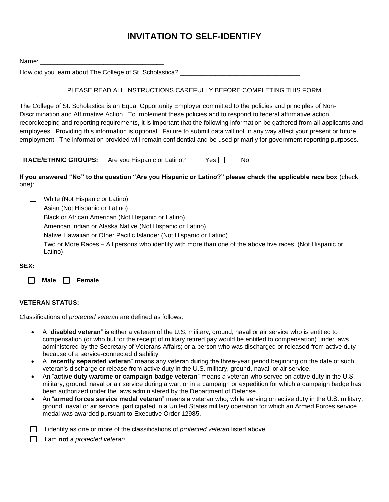# **INVITATION TO SELF-IDENTIFY**

| How did you learn about The College of St. Scholastica? _________                                                                                                                                                                                                                                                                                                                                                                                                                                                                                                                                                            |  |  |  |  |  |  |  |  |
|------------------------------------------------------------------------------------------------------------------------------------------------------------------------------------------------------------------------------------------------------------------------------------------------------------------------------------------------------------------------------------------------------------------------------------------------------------------------------------------------------------------------------------------------------------------------------------------------------------------------------|--|--|--|--|--|--|--|--|
| PLEASE READ ALL INSTRUCTIONS CAREFULLY BEFORE COMPLETING THIS FORM                                                                                                                                                                                                                                                                                                                                                                                                                                                                                                                                                           |  |  |  |  |  |  |  |  |
| The College of St. Scholastica is an Equal Opportunity Employer committed to the policies and principles of Non-<br>Discrimination and Affirmative Action. To implement these policies and to respond to federal affirmative action<br>recordkeeping and reporting requirements, it is important that the following information be gathered from all applicants and<br>employees. Providing this information is optional. Failure to submit data will not in any way affect your present or future<br>employment. The information provided will remain confidential and be used primarily for government reporting purposes. |  |  |  |  |  |  |  |  |
| <b>RACE/ETHNIC GROUPS:</b><br>No<br>Are you Hispanic or Latino?<br>Yes $\Box$                                                                                                                                                                                                                                                                                                                                                                                                                                                                                                                                                |  |  |  |  |  |  |  |  |
| If you answered "No" to the question "Are you Hispanic or Latino?" please check the applicable race box (check<br>one):                                                                                                                                                                                                                                                                                                                                                                                                                                                                                                      |  |  |  |  |  |  |  |  |
| White (Not Hispanic or Latino)<br>Asian (Not Hispanic or Latino)<br>Black or African American (Not Hispanic or Latino)<br>American Indian or Alaska Native (Not Hispanic or Latino)<br>Native Hawaiian or Other Pacific Islander (Not Hispanic or Latino)<br>Two or More Races – All persons who identify with more than one of the above five races. (Not Hispanic or<br>Latino)                                                                                                                                                                                                                                            |  |  |  |  |  |  |  |  |

#### **SEX:**

**Male Female** 

#### **VETERAN STATUS:**

Classifications of *protected veteran* are defined as follows:

- A "**disabled veteran**" is either a veteran of the U.S. military, ground, naval or air service who is entitled to compensation (or who but for the receipt of military retired pay would be entitled to compensation) under laws administered by the Secretary of Veterans Affairs; or a person who was discharged or released from active duty because of a service-connected disability.
- A "**recently separated veteran**" means any veteran during the three-year period beginning on the date of such veteran's discharge or release from active duty in the U.S. military, ground, naval, or air service.
- An "**active duty wartime or campaign badge veteran**" means a veteran who served on active duty in the U.S. military, ground, naval or air service during a war, or in a campaign or expedition for which a campaign badge has been authorized under the laws administered by the Department of Defense.
- An "**armed forces service medal veteran**" means a veteran who, while serving on active duty in the U.S. military, ground, naval or air service, participated in a United States military operation for which an Armed Forces service medal was awarded pursuant to Executive Order 12985.

I identify as one or more of the classifications of *protected veteran* listed above.

I am **not** a *protected veteran*.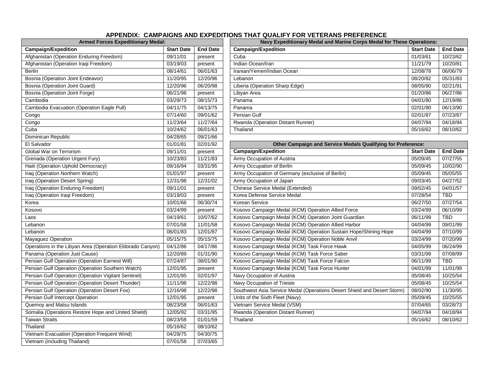### **APPENDIX: CAMPAIGNS AND EXPEDITIONS THAT QUALIFY FOR VETERANS PREFERENCE**

| <b>Armed Forces Expeditionary Medal:</b>                  |                   |                 | Navy Expeditionary Medal and Marine Corps Medal for These Operat         |              |  |  |
|-----------------------------------------------------------|-------------------|-----------------|--------------------------------------------------------------------------|--------------|--|--|
| <b>Campaign/Expedition</b>                                | <b>Start Date</b> | <b>End Date</b> | <b>Campaign/Expedition</b>                                               | <b>Start</b> |  |  |
| Afghanistan (Operation Enduring Freedom)                  | 09/11/01          | present         | Cuba                                                                     | 01/03        |  |  |
| Afghanistan (Operation Iraqi Freedom)                     | 03/19/03          | present         | Indian Ocean/Iran                                                        | 11/21        |  |  |
| <b>Berlin</b>                                             | 08/14/61          | 06/01/63        | Iranian/Yemen/Indian Ocean                                               | 12/08        |  |  |
| Bosnia (Operation Joint Endeavor)                         | 11/20/95          | 12/20/96        | Lebanon                                                                  | 08/20        |  |  |
| Bosnia (Operation Joint Guard)                            | 12/20/96          | 06/20/98        | Liberia (Operation Sharp Edge)                                           | 08/05        |  |  |
| Bosnia (Operation Joint Forge)                            | 06/21/98          | present         | Libyan Area                                                              | 01/20        |  |  |
| Cambodia                                                  | 03/29/73          | 08/15/73        | Panama                                                                   | 04/01        |  |  |
| Cambodia Evacuation (Operation Eagle Pull)                | 04/11/75          | 04/13/75        | Panama                                                                   | 02/01        |  |  |
| Congo                                                     | 07/14/60          | 09/01/62        | Persian Gulf                                                             | 02/01        |  |  |
| Congo                                                     | 11/23/64          | 11/27/64        | Rwanda (Operation Distant Runner)                                        | 04/07        |  |  |
| Cuba                                                      | 10/24/62          | 06/01/63        | Thailand                                                                 | 05/16        |  |  |
| Dominican Republic                                        | 04/28/65          | 09/21/66        |                                                                          |              |  |  |
| El Salvador                                               | 01/01/81          | 02/01/92        | Other Campaign and Service Medals Qualifying for Preference:             |              |  |  |
| Global War on Terrorism                                   | 09/11/01          | present         | <b>Campaign/Expedition</b>                                               | <b>Start</b> |  |  |
| Grenada (Operation Urgent Fury)                           | 10/23/83          | 11/21/83        | Army Occupation of Austria                                               | 05/09        |  |  |
| Haiti (Operation Uphold Democracy)                        | 09/16/94          | 03/31/95        | Army Occupation of Berlin                                                | 05/09        |  |  |
| Iraq (Operation Northern Watch)                           | 01/01/97          | present         | Army Occupation of Germany (exclusive of Berlin)                         | 05/09        |  |  |
| Iraq (Operation Desert Spring)                            | 12/31/98          | 12/31/02        | Army Occupation of Japan                                                 | 09/03        |  |  |
| Iraq (Operation Enduring Freedom)                         | 09/11/01          | present         | Chinese Service Medal (Extended)                                         | 09/02        |  |  |
| Iraq (Operation Iraqi Freedom)                            | 03/19/03          | present         | Korea Defense Service Medal                                              | 07/28        |  |  |
| Korea                                                     | 10/01/66          | 06/30/74        | Korean Service                                                           | 06/27        |  |  |
| Kosovo                                                    | 03/24/99          | present         | Kosovo Campaign Medal (KCM) Operation Allied Force                       | 03/24        |  |  |
| Laos                                                      | 04/19/61          | 10/07/62        | Kosovo Campaign Medal (KCM) Operation Joint Guardian                     | 06/11        |  |  |
| Lebanon                                                   | 07/01/58          | 11/01/58        | Kosovo Campaign Medal (KCM) Operation Allied Harbor                      | 04/04        |  |  |
| Lebanon                                                   | 06/01/83          | 12/01/87        | Kosovo Campaign Medal (KCM) Operation Sustain Hope/Shining Hope          | 04/04        |  |  |
| <b>Mayaguez Operation</b>                                 | 05/15/75          | 05/15/75        | Kosovo Campaign Medal (KCM) Operation Noble Anvil                        | 03/24        |  |  |
| Operations in the Libyan Area (Operation Eldorado Canyon) | 04/12/86          | 04/17/86        | Kosovo Campaign Medal (KCM) Task Force Hawk                              | 04/05        |  |  |
| Panama (Operation Just Cause)                             | 12/20/89          | 01/31/90        | Kosovo Campaign Medal (KCM) Task Force Saber                             | 03/31        |  |  |
| Persian Gulf Operation (Operation Earnest Will)           | 07/24/87          | 08/01/90        | Kosovo Campaign Medal (KCM) Task Force Falcon                            | 06/11        |  |  |
| Persian Gulf Operation (Operation Southern Watch)         | 12/01/95          | present         | Kosovo Campaign Medal (KCM) Task Force Hunter                            | 04/01        |  |  |
| Persian Gulf Operation (Operation Vigilant Sentinel)      | 12/01/95          | 02/01/97        | Navy Occupation of Austria                                               | 05/08        |  |  |
| Persian Gulf Operation (Operation Desert Thunder)         | 11/11/98          | 12/22/98        | Navy Occupation of Trieste                                               | 05/08        |  |  |
| Persian Gulf Operation (Operation Desert Fox)             | 12/16/98          | 12/22/98        | Southwest Asia Service Medal (Operations Desert Shield and Desert Storm) | 08/02        |  |  |
| Persian Gulf Intercept Operation                          | 12/01/95          | present         | Units of the Sixth Fleet (Navy)                                          | 05/09        |  |  |
| Quemoy and Matsu Islands                                  | 08/23/58          | 06/01/63        | Vietnam Service Medal (VSM)                                              | 07/04        |  |  |
| Somalia (Operations Restore Hope and United Shield)       | 12/05/92          | 03/31/95        | Rwanda (Operation Distant Runner)                                        | 04/07        |  |  |
| <b>Taiwan Straits</b>                                     | 08/23/58          | 01/01/59        | Thailand                                                                 | 05/16        |  |  |
| Thailand                                                  | 05/16/62          | 08/10/62        |                                                                          |              |  |  |
| Vietnam Evacuation (Operation Frequent Wind)              | 04/29/75          | 04/30/75        |                                                                          |              |  |  |
| Vietnam (including Thailand)                              | 07/01/58          | 07/03/65        |                                                                          |              |  |  |

| <b>Armed Forces Expeditionary Medal:</b>   |                   |                 | Navy Expeditionary Medal and Marine Corps Medal for These Operations: |                   |                 |  |
|--------------------------------------------|-------------------|-----------------|-----------------------------------------------------------------------|-------------------|-----------------|--|
| <b>Campaign/Expedition</b>                 | <b>Start Date</b> | <b>End Date</b> | <b>Campaign/Expedition</b>                                            | <b>Start Date</b> | <b>End Date</b> |  |
| Afghanistan (Operation Enduring Freedom)   | 09/11/01          | present         | Cuba                                                                  | 01/03/61          | 10/23/62        |  |
| Afghanistan (Operation Iraqi Freedom)      | 03/19/03          | present         | Indian Ocean/Iran                                                     | 11/21/79          | 10/20/81        |  |
| Berlin                                     | 08/14/61          | 06/01/63        | Iranian/Yemen/Indian Ocean                                            | 12/08/78          | 06/06/79        |  |
| Bosnia (Operation Joint Endeavor)          | 11/20/95          | 12/20/96        | Lebanon                                                               | 08/20/82          | 05/31/83        |  |
| Bosnia (Operation Joint Guard)             | 12/20/96          | 06/20/98        | Liberia (Operation Sharp Edge)                                        | 08/05/90          | 02/21/91        |  |
| Bosnia (Operation Joint Forge)             | 06/21/98          | present         | Libyan Area                                                           | 01/20/86          | 06/27/86        |  |
| Cambodia                                   | 03/29/73          | 08/15/73        | Panama                                                                | 04/01/80          | 12/19/86        |  |
| Cambodia Evacuation (Operation Eagle Pull) | 04/11/75          | 04/13/75        | Panama                                                                | 02/01/90          | 06/13/90        |  |
| Congo                                      | 07/14/60          | 09/01/62        | <b>Persian Gulf</b>                                                   | 02/01/87          | 07/23/87        |  |
| Congo                                      | 11/23/64          | 11/27/64        | Rwanda (Operation Distant Runner)                                     | 04/07/94          | 04/18/94        |  |
| Cuba                                       | 10/24/62          | 06/01/63        | Thailand                                                              | 05/16/62          | 08/10/62        |  |
|                                            |                   |                 |                                                                       |                   |                 |  |

| El Salvador                                               | 01/01/81 | 02/01/92 | Other Campaign and Service Medals Qualifying for Preference:             |                   |                 |  |  |
|-----------------------------------------------------------|----------|----------|--------------------------------------------------------------------------|-------------------|-----------------|--|--|
| Global War on Terrorism                                   | 09/11/01 | present  | <b>Campaign/Expedition</b>                                               | <b>Start Date</b> | <b>End Date</b> |  |  |
| Grenada (Operation Urgent Fury)                           | 10/23/83 | 11/21/83 | Army Occupation of Austria                                               | 05/09/45          | 07/27/55        |  |  |
| Haiti (Operation Uphold Democracy)                        | 09/16/94 | 03/31/95 | Army Occupation of Berlin                                                | 05/09/45          | 10/02/90        |  |  |
| Iraq (Operation Northern Watch)                           | 01/01/97 | present  | Army Occupation of Germany (exclusive of Berlin)                         | 05/09/45          | 05/05/55        |  |  |
| Iraq (Operation Desert Spring)                            | 12/31/98 | 12/31/02 | Army Occupation of Japan                                                 | 09/03/45          | 04/27/52        |  |  |
| Iraq (Operation Enduring Freedom)                         | 09/11/01 | present  | Chinese Service Medal (Extended)                                         | 09/02/45          | 04/01/57        |  |  |
| Iraq (Operation Iraqi Freedom)                            | 03/19/03 | present  | Korea Defense Service Medal                                              | 07/28/54          | <b>TBD</b>      |  |  |
| Korea                                                     | 10/01/66 | 06/30/74 | Korean Service                                                           | 06/27/50          | 07/27/54        |  |  |
| Kosovo                                                    | 03/24/99 | present  | Kosovo Campaign Medal (KCM) Operation Allied Force                       | 03/24/99          | 06/10/99        |  |  |
| Laos                                                      | 04/19/61 | 10/07/62 | Kosovo Campaign Medal (KCM) Operation Joint Guardian                     | 06/11/99          | <b>TBD</b>      |  |  |
| Lebanon                                                   | 07/01/58 | 11/01/58 | Kosovo Campaign Medal (KCM) Operation Allied Harbor                      | 04/04/99          | 09/01/99        |  |  |
| Lebanon                                                   | 06/01/83 | 12/01/87 | Kosovo Campaign Medal (KCM) Operation Sustain Hope/Shining Hope          | 04/04/99          | 07/10/99        |  |  |
| Mayaguez Operation                                        | 05/15/75 | 05/15/75 | Kosovo Campaign Medal (KCM) Operation Noble Anvil                        | 03/24/99          | 07/20/99        |  |  |
| Operations in the Libyan Area (Operation Eldorado Canyon) | 04/12/86 | 04/17/86 | Kosovo Campaign Medal (KCM) Task Force Hawk                              | 04/05/99          | 06/24/99        |  |  |
| Panama (Operation Just Cause)                             | 12/20/89 | 01/31/90 | Kosovo Campaign Medal (KCM) Task Force Saber                             | 03/31/99          | 07/08/99        |  |  |
| Persian Gulf Operation (Operation Earnest Will)           | 07/24/87 | 08/01/90 | Kosovo Campaign Medal (KCM) Task Force Falcon                            | 06/11/99          | TBD             |  |  |
| Persian Gulf Operation (Operation Southern Watch)         | 12/01/95 | present  | Kosovo Campaign Medal (KCM) Task Force Hunter                            | 04/01/99          | 11/01/99        |  |  |
| Persian Gulf Operation (Operation Vigilant Sentinel)      | 12/01/95 | 02/01/97 | Navy Occupation of Austria                                               | 05/08/45          | 10/25/54        |  |  |
| Persian Gulf Operation (Operation Desert Thunder)         | 11/11/98 | 12/22/98 | Navy Occupation of Trieste                                               | 05/08/45          | 10/25/54        |  |  |
| Persian Gulf Operation (Operation Desert Fox)             | 12/16/98 | 12/22/98 | Southwest Asia Service Medal (Operations Desert Shield and Desert Storm) | 08/02/90          | 11/30/95        |  |  |
| Persian Gulf Intercept Operation                          | 12/01/95 | present  | Units of the Sixth Fleet (Navy)                                          | 05/09/45          | 10/25/55        |  |  |
| Quemoy and Matsu Islands                                  | 08/23/58 | 06/01/63 | Vietnam Service Medal (VSM)                                              | 07/04/65          | 03/28/73        |  |  |
| Somalia (Operations Restore Hope and United Shield)       | 12/05/92 | 03/31/95 | Rwanda (Operation Distant Runner)                                        | 04/07/94          | 04/18/94        |  |  |
| Taiwan Straits                                            | 08/23/58 | 01/01/59 | Thailand                                                                 | 05/16/62          | 08/10/62        |  |  |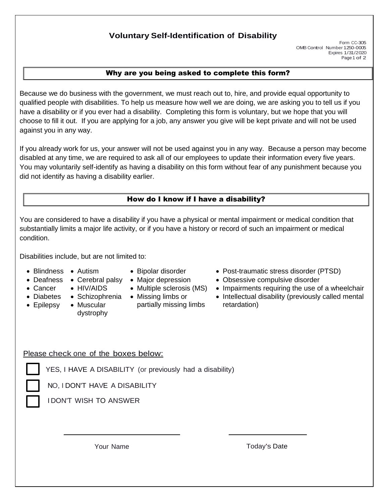## **Voluntary Self-Identification of Disability**

Form CC-305 OMB Control Number 1250-0005 Expires 1/31/2020 Page 1 of 2

## Why are you being asked to complete this form?

Because we do business with the government, we must reach out to, hire, and provide equal opportunity to qualified people with disabilities. To help us measure how well we are doing, we are asking you to tell us if you have a disability or if you ever had a disability. Completing this form is voluntary, but we hope that you will choose to fill it out. If you are applying for a job, any answer you give will be kept private and will not be used against you in any way.

If you already work for us, your answer will not be used against you in any way. Because a person may become disabled at any time, we are required to ask all of our employees to update their information every five years. You may voluntarily self-identify as having a disability on this form without fear of any punishment because you did not identify as having a disability earlier.

### How do I know if I have a disability?

You are considered to have a disability if you have a physical or mental impairment or medical condition that substantially limits a major life activity, or if you have a history or record of such an impairment or medical condition.

Disabilities include, but are not limited to:

- -
- 
- 
- -
- Epilepsy
	- Muscular dystrophy
- Diabetes Schizophrenia Missing limbs or partially missing limbs
- Blindness Autism Bipolar disorder Post-traumatic stress disorder (PTSD)
- Deafness Cerebral palsy Major depression Obsessive compulsive disorder
- Cancer HIV/AIDS Multiple sclerosis (MS) Impairments requiring the use of a wheelchair
	- Intellectual disability (previously called mental retardation)

## Please check one of the boxes below:

YES, I HAVE A DISABILITY (or previously had a disability)

NO, I DON'T HAVE A DISABILITY

I DON'T WISH TO ANSWER

Your Name Today's Date